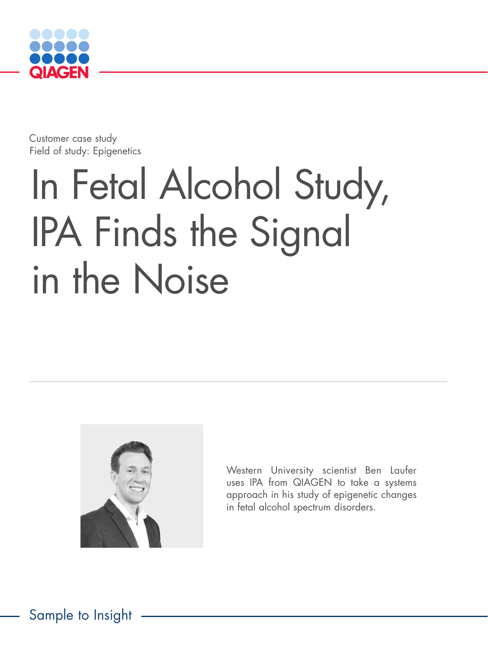

Customer case study Field of study: Epigenetics

# In Fetal Alcohol Study, IPA Finds the Signal in the Noise



Western University scientist Ben Laufer uses IPA from QIAGEN to take a systems approach in his study of epigenetic changes in fetal alcohol spectrum disorders.

Sample to Insight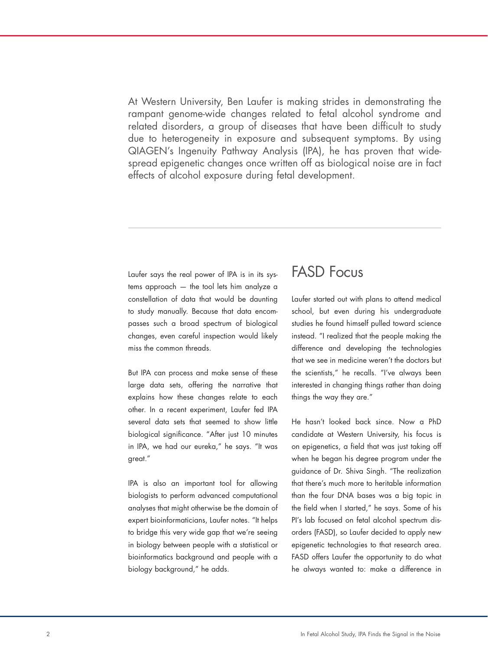At Western University, Ben Laufer is making strides in demonstrating the rampant genome-wide changes related to fetal alcohol syndrome and related disorders, a group of diseases that have been difficult to study due to heterogeneity in exposure and subsequent symptoms. By using QIAGEN's Ingenuity Pathway Analysis (IPA), he has proven that widespread epigenetic changes once written off as biological noise are in fact effects of alcohol exposure during fetal development.

Laufer says the real power of IPA is in its systems approach — the tool lets him analyze a constellation of data that would be daunting to study manually. Because that data encompasses such a broad spectrum of biological changes, even careful inspection would likely miss the common threads.

But IPA can process and make sense of these large data sets, offering the narrative that explains how these changes relate to each other. In a recent experiment, Laufer fed IPA several data sets that seemed to show little biological significance. "After just 10 minutes in IPA, we had our eureka," he says. "It was great."

IPA is also an important tool for allowing biologists to perform advanced computational analyses that might otherwise be the domain of expert bioinformaticians, Laufer notes. "It helps to bridge this very wide gap that we're seeing in biology between people with a statistical or bioinformatics background and people with a biology background," he adds.

### FASD Focus

Laufer started out with plans to attend medical school, but even during his undergraduate studies he found himself pulled toward science instead. "I realized that the people making the difference and developing the technologies that we see in medicine weren't the doctors but the scientists," he recalls. "I've always been interested in changing things rather than doing things the way they are."

He hasn't looked back since. Now a PhD candidate at Western University, his focus is on epigenetics, a field that was just taking off when he began his degree program under the guidance of Dr. Shiva Singh. "The realization that there's much more to heritable information than the four DNA bases was a big topic in the field when I started," he says. Some of his PI's lab focused on fetal alcohol spectrum disorders (FASD), so Laufer decided to apply new epigenetic technologies to that research area. FASD offers Laufer the opportunity to do what he always wanted to: make a difference in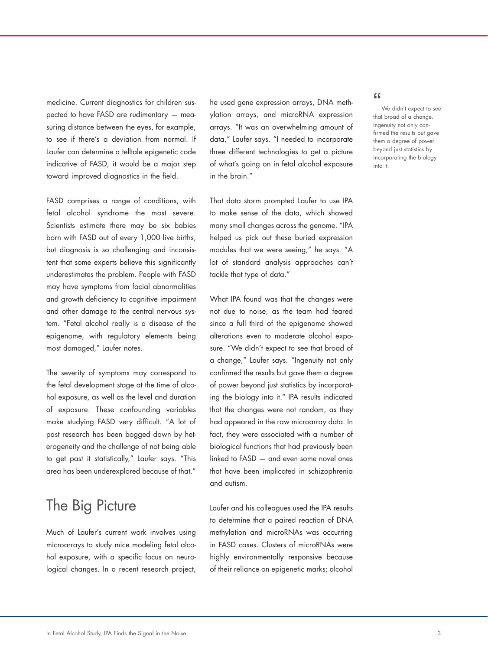medicine. Current diagnostics for children suspected to have FASD are rudimentary — measuring distance between the eyes, for example, to see if there's a deviation from normal. If Laufer can determine a telltale epigenetic code indicative of FASD, it would be a major step toward improved diagnostics in the field.

FASD comprises a range of conditions, with fetal alcohol syndrome the most severe. Scientists estimate there may be six babies born with FASD out of every 1,000 live births, but diagnosis is so challenging and inconsistent that some experts believe this significantly underestimates the problem. People with FASD may have symptoms from facial abnormalities and growth deficiency to cognitive impairment and other damage to the central nervous system. "Fetal alcohol really is a disease of the epigenome, with regulatory elements being most damaged," Laufer notes.

The severity of symptoms may correspond to the fetal development stage at the time of alcohol exposure, as well as the level and duration of exposure. These confounding variables make studying FASD very difficult. "A lot of past research has been bogged down by heterogeneity and the challenge of not being able to get past it statistically," Laufer says. "This area has been underexplored because of that."

## The Big Picture

Much of Laufer's current work involves using microarrays to study mice modeling fetal alcohol exposure, with a specific focus on neurological changes. In a recent research project, he used gene expression arrays, DNA methylation arrays, and microRNA expression arrays. "It was an overwhelming amount of data," Laufer says. "I needed to incorporate three different technologies to get a picture of what's going on in fetal alcohol exposure in the brain."

That data storm prompted Laufer to use IPA to make sense of the data, which showed many small changes across the genome. "IPA helped us pick out these buried expression modules that we were seeing," he says. "A lot of standard analysis approaches can't tackle that type of data."

What IPA found was that the changes were not due to noise, as the team had feared since a full third of the epigenome showed alterations even to moderate alcohol exposure. "We didn't expect to see that broad of a change," Laufer says. "Ingenuity not only confirmed the results but gave them a degree of power beyond just statistics by incorporating the biology into it." IPA results indicated that the changes were not random, as they had appeared in the raw microarray data. In fact, they were associated with a number of biological functions that had previously been linked to FASD — and even some novel ones that have been implicated in schizophrenia and autism.

Laufer and his colleagues used the IPA results to determine that a paired reaction of DNA methylation and microRNAs was occurring in FASD cases. Clusters of microRNAs were highly environmentally responsive because of their reliance on epigenetic marks; alcohol

#### $\epsilon$

We didn't expect to see that broad of a change. Ingenuity not only confirmed the results but gave them a degree of power beyond just statistics by incorporating the biology into it.